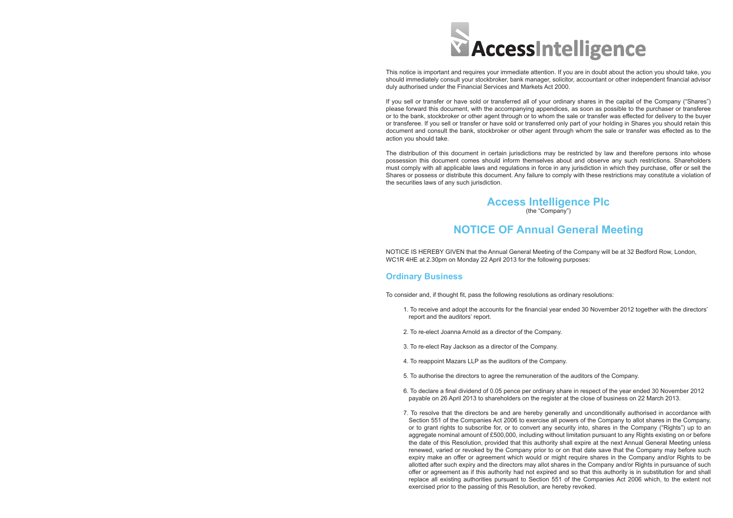

This notice is important and requires your immediate attention. If you are in doubt about the action you should take, you should immediately consult your stockbroker, bank manager, solicitor, accountant or other independent financial advisor duly authorised under the Financial Services and Markets Act 2000.

If you sell or transfer or have sold or transferred all of your ordinary shares in the capital of the Company ("Shares") please forward this document, with the accompanying appendices, as soon as possible to the purchaser or transferee or to the bank, stockbroker or other agent through or to whom the sale or transfer was effected for delivery to the buyer or transferee. If you sell or transfer or have sold or transferred only part of your holding in Shares you should retain this document and consult the bank, stockbroker or other agent through whom the sale or transfer was effected as to the action you should take.

The distribution of this document in certain jurisdictions may be restricted by law and therefore persons into whose possession this document comes should inform themselves about and observe any such restrictions. Shareholders must comply with all applicable laws and regulations in force in any jurisdiction in which they purchase, offer or sell the Shares or possess or distribute this document. Any failure to comply with these restrictions may constitute a violation of the securities laws of any such jurisdiction.

### **Access Intelligence Plc** (the "Company")

# **NOTICE OF Annual General Meeting**

NOTICE IS HEREBY GIVEN that the Annual General Meeting of the Company will be at 32 Bedford Row, London, WC1R 4HE at 2.30pm on Monday 22 April 2013 for the following purposes:

## **Ordinary Business**

To consider and, if thought fit, pass the following resolutions as ordinary resolutions:

1. To receive and adopt the accounts for the financial year ended 30 November 2012 together with the directors'

6. To declare a final dividend of 0.05 pence per ordinary share in respect of the year ended 30 November 2012

- report and the auditors' report.
- 2. To re-elect Joanna Arnold as a director of the Company.
- 3. To re-elect Ray Jackson as a director of the Company.
- 4. To reappoint Mazars LLP as the auditors of the Company.
- 5. To authorise the directors to agree the remuneration of the auditors of the Company.
- payable on 26 April 2013 to shareholders on the register at the close of business on 22 March 2013.
- exercised prior to the passing of this Resolution, are hereby revoked.

7. To resolve that the directors be and are hereby generally and unconditionally authorised in accordance with Section 551 of the Companies Act 2006 to exercise all powers of the Company to allot shares in the Company, or to grant rights to subscribe for, or to convert any security into, shares in the Company ("Rights") up to an aggregate nominal amount of £500,000, including without limitation pursuant to any Rights existing on or before the date of this Resolution, provided that this authority shall expire at the next Annual General Meeting unless renewed, varied or revoked by the Company prior to or on that date save that the Company may before such expiry make an offer or agreement which would or might require shares in the Company and/or Rights to be allotted after such expiry and the directors may allot shares in the Company and/or Rights in pursuance of such offer or agreement as if this authority had not expired and so that this authority is in substitution for and shall replace all existing authorities pursuant to Section 551 of the Companies Act 2006 which, to the extent not